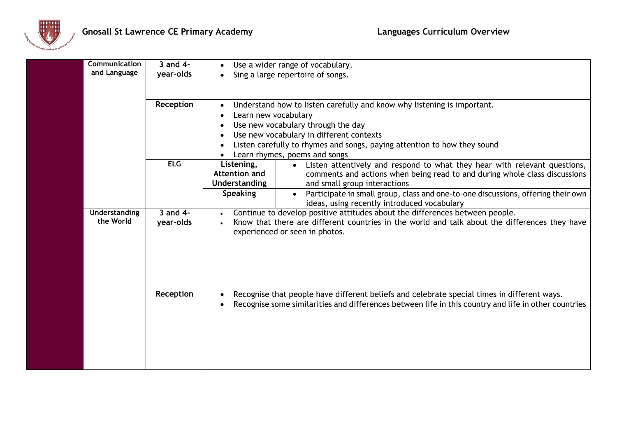

| Communication<br>and Language | $3$ and $4-$<br>year-olds | Use a wider range of vocabulary.<br>Sing a large repertoire of songs.                                                                                                                                                                                                                                                                                                                                                   |
|-------------------------------|---------------------------|-------------------------------------------------------------------------------------------------------------------------------------------------------------------------------------------------------------------------------------------------------------------------------------------------------------------------------------------------------------------------------------------------------------------------|
| Reception                     |                           | Understand how to listen carefully and know why listening is important.<br>$\bullet$<br>Learn new vocabulary<br>Use new vocabulary through the day<br>Use new vocabulary in different contexts<br>Listen carefully to rhymes and songs, paying attention to how they sound<br>Learn rhymes, poems and songs                                                                                                             |
|                               | ELG                       | Listening,<br>Listen attentively and respond to what they hear with relevant questions,<br>$\bullet$<br>Attention and<br>comments and actions when being read to and during whole class discussions<br>Understanding<br>and small group interactions<br><b>Speaking</b><br>Participate in small group, class and one-to-one discussions, offering their own<br>$\bullet$<br>ideas, using recently introduced vocabulary |
| Understanding<br>the World    | 3 and 4-<br>year-olds     | Continue to develop positive attitudes about the differences between people.<br>Know that there are different countries in the world and talk about the differences they have<br>experienced or seen in photos.                                                                                                                                                                                                         |
|                               | Reception                 | Recognise that people have different beliefs and celebrate special times in different ways.<br>Recognise some similarities and differences between life in this country and life in other countries                                                                                                                                                                                                                     |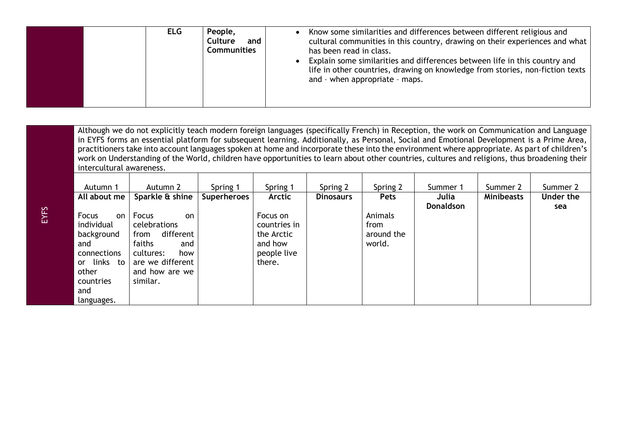| People,<br><b>ELG</b><br><b>Culture</b><br>and<br><b>Communities</b> | Know some similarities and differences between different religious and<br>cultural communities in this country, drawing on their experiences and what  <br>has been read in class.<br>Explain some similarities and differences between life in this country and<br>life in other countries, drawing on knowledge from stories, non-fiction texts<br>and - when appropriate - maps. |
|----------------------------------------------------------------------|-------------------------------------------------------------------------------------------------------------------------------------------------------------------------------------------------------------------------------------------------------------------------------------------------------------------------------------------------------------------------------------|
|----------------------------------------------------------------------|-------------------------------------------------------------------------------------------------------------------------------------------------------------------------------------------------------------------------------------------------------------------------------------------------------------------------------------------------------------------------------------|

Although we do not explicitly teach modern foreign languages (specifically French) in Reception, the work on Communication and Language in EYFS forms an essential platform for subsequent learning. Additionally, as Personal, Social and Emotional Development is a Prime Area, practitioners take into account languages spoken at home and incorporate these into the environment where appropriate. As part of children's work on Understanding of the World, children have opportunities to learn about other countries, cultures and religions, thus broadening their intercultural awareness.

| Autumn 1                                                                                                                    | Autumn 2                                                                                                                                | Spring 1           | Spring 1                                                                   | Spring 2         | Spring 2                                | Summer 1         | Summer 2          | Summer 2  |
|-----------------------------------------------------------------------------------------------------------------------------|-----------------------------------------------------------------------------------------------------------------------------------------|--------------------|----------------------------------------------------------------------------|------------------|-----------------------------------------|------------------|-------------------|-----------|
| All about me                                                                                                                | Sparkle & shine                                                                                                                         | <b>Superheroes</b> | Arctic                                                                     | <b>Dinosaurs</b> | Pets                                    | Julia            | <b>Minibeasts</b> | Under the |
| Focus<br>on<br>individual<br>background<br>and<br>connections<br>links to<br>or.<br>other<br>countries<br>and<br>languages. | Focus<br>on<br>celebrations<br>different<br>from<br>faiths<br>and<br>cultures:<br>how<br>are we different<br>and how are we<br>similar. |                    | Focus on<br>countries in<br>the Arctic<br>and how<br>people live<br>there. |                  | Animals<br>from<br>around the<br>world. | <b>Donaldson</b> |                   | sea       |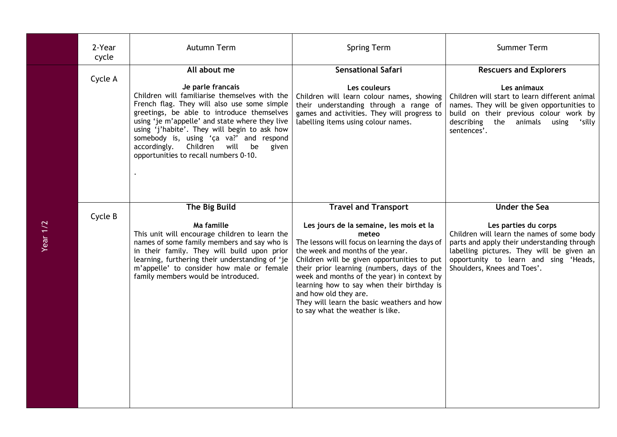|          | 2-Year<br>cycle | Autumn Term                                                                                                                                                                                                                                                                                                                                                                                                           | <b>Spring Term</b>                                                                                                                                                                                                                                                                                                                                                                                                                                                        | Summer Term                                                                                                                                                                                                                                                    |
|----------|-----------------|-----------------------------------------------------------------------------------------------------------------------------------------------------------------------------------------------------------------------------------------------------------------------------------------------------------------------------------------------------------------------------------------------------------------------|---------------------------------------------------------------------------------------------------------------------------------------------------------------------------------------------------------------------------------------------------------------------------------------------------------------------------------------------------------------------------------------------------------------------------------------------------------------------------|----------------------------------------------------------------------------------------------------------------------------------------------------------------------------------------------------------------------------------------------------------------|
|          | Cycle A         | All about me<br>Je parle francais<br>Children will familiarise themselves with the<br>French flag. They will also use some simple<br>greetings, be able to introduce themselves<br>using 'je m'appelle' and state where they live<br>using 'j'habite'. They will begin to ask how<br>somebody is, using 'ca va?' and respond<br>Children will<br>accordingly.<br>be<br>given<br>opportunities to recall numbers 0-10. | <b>Sensational Safari</b><br>Les couleurs<br>Children will learn colour names, showing<br>their understanding through a range of<br>games and activities. They will progress to<br>labelling items using colour names.                                                                                                                                                                                                                                                    | <b>Rescuers and Explorers</b><br>Les animaux<br>Children will start to learn different animal<br>names. They will be given opportunities to<br>build on their previous colour work by<br>describing the animals<br>using<br>'silly<br>sentences'.              |
| Year 1/2 | Cycle B         | The Big Build<br>Ma famille<br>This unit will encourage children to learn the<br>names of some family members and say who is<br>in their family. They will build upon prior<br>learning, furthering their understanding of 'je<br>m'appelle' to consider how male or female<br>family members would be introduced.                                                                                                    | <b>Travel and Transport</b><br>Les jours de la semaine, les mois et la<br>meteo<br>The lessons will focus on learning the days of<br>the week and months of the year.<br>Children will be given opportunities to put<br>their prior learning (numbers, days of the<br>week and months of the year) in context by<br>learning how to say when their birthday is<br>and how old they are.<br>They will learn the basic weathers and how<br>to say what the weather is like. | <b>Under the Sea</b><br>Les parties du corps<br>Children will learn the names of some body<br>parts and apply their understanding through<br>labelling pictures. They will be given an<br>opportunity to learn and sing 'Heads,<br>Shoulders, Knees and Toes'. |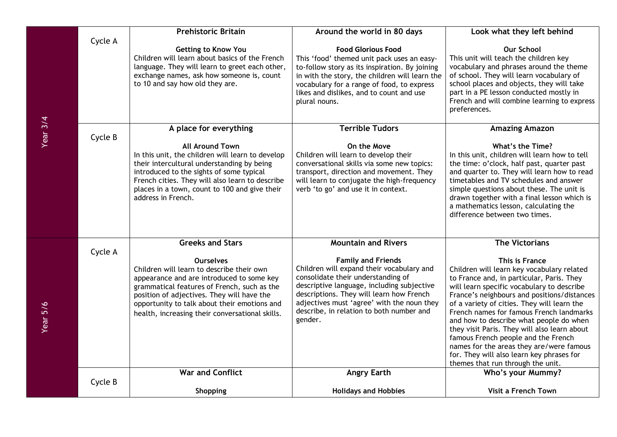|            |         | <b>Prehistoric Britain</b>                                                                                                                                                                                                                                                                                 | Around the world in 80 days                                                                                                                                                                                                                                                                                 | Look what they left behind                                                                                                                                                                                                                                                                                                                                                                                                                                                                                                                                        |
|------------|---------|------------------------------------------------------------------------------------------------------------------------------------------------------------------------------------------------------------------------------------------------------------------------------------------------------------|-------------------------------------------------------------------------------------------------------------------------------------------------------------------------------------------------------------------------------------------------------------------------------------------------------------|-------------------------------------------------------------------------------------------------------------------------------------------------------------------------------------------------------------------------------------------------------------------------------------------------------------------------------------------------------------------------------------------------------------------------------------------------------------------------------------------------------------------------------------------------------------------|
|            | Cycle A | <b>Getting to Know You</b><br>Children will learn about basics of the French<br>language. They will learn to greet each other,<br>exchange names, ask how someone is, count<br>to 10 and say how old they are.                                                                                             | <b>Food Glorious Food</b><br>This 'food' themed unit pack uses an easy-<br>to-follow story as its inspiration. By joining<br>in with the story, the children will learn the<br>vocabulary for a range of food, to express<br>likes and dislikes, and to count and use<br>plural nouns.                      | <b>Our School</b><br>This unit will teach the children key<br>vocabulary and phrases around the theme<br>of school. They will learn vocabulary of<br>school places and objects, they will take<br>part in a PE lesson conducted mostly in<br>French and will combine learning to express<br>preferences.                                                                                                                                                                                                                                                          |
| Year $3/4$ |         | A place for everything                                                                                                                                                                                                                                                                                     | <b>Terrible Tudors</b>                                                                                                                                                                                                                                                                                      | <b>Amazing Amazon</b>                                                                                                                                                                                                                                                                                                                                                                                                                                                                                                                                             |
|            | Cycle B | <b>All Around Town</b><br>In this unit, the children will learn to develop<br>their intercultural understanding by being<br>introduced to the sights of some typical<br>French cities. They will also learn to describe<br>places in a town, count to 100 and give their<br>address in French.             | On the Move<br>Children will learn to develop their<br>conversational skills via some new topics:<br>transport, direction and movement. They<br>will learn to conjugate the high-frequency<br>verb 'to go' and use it in context.                                                                           | What's the Time?<br>In this unit, children will learn how to tell<br>the time: o'clock, half past, quarter past<br>and quarter to. They will learn how to read<br>timetables and TV schedules and answer<br>simple questions about these. The unit is<br>drawn together with a final lesson which is<br>a mathematics lesson, calculating the<br>difference between two times.                                                                                                                                                                                    |
|            |         | <b>Greeks and Stars</b>                                                                                                                                                                                                                                                                                    | <b>Mountain and Rivers</b>                                                                                                                                                                                                                                                                                  | <b>The Victorians</b>                                                                                                                                                                                                                                                                                                                                                                                                                                                                                                                                             |
| Year 5/6   | Cycle A | <b>Ourselves</b><br>Children will learn to describe their own<br>appearance and are introduced to some key<br>grammatical features of French, such as the<br>position of adjectives. They will have the<br>opportunity to talk about their emotions and<br>health, increasing their conversational skills. | <b>Family and Friends</b><br>Children will expand their vocabulary and<br>consolidate their understanding of<br>descriptive language, including subjective<br>descriptions. They will learn how French<br>adjectives must 'agree' with the noun they<br>describe, in relation to both number and<br>gender. | This is France<br>Children will learn key vocabulary related<br>to France and, in particular, Paris. They<br>will learn specific vocabulary to describe<br>France's neighbours and positions/distances<br>of a variety of cities. They will learn the<br>French names for famous French landmarks<br>and how to describe what people do when<br>they visit Paris. They will also learn about<br>famous French people and the French<br>names for the areas they are/were famous<br>for. They will also learn key phrases for<br>themes that run through the unit. |
|            | Cycle B | <b>War and Conflict</b>                                                                                                                                                                                                                                                                                    | <b>Angry Earth</b>                                                                                                                                                                                                                                                                                          | Who's your Mummy?                                                                                                                                                                                                                                                                                                                                                                                                                                                                                                                                                 |
|            |         | Shopping                                                                                                                                                                                                                                                                                                   | <b>Holidays and Hobbies</b>                                                                                                                                                                                                                                                                                 | Visit a French Town                                                                                                                                                                                                                                                                                                                                                                                                                                                                                                                                               |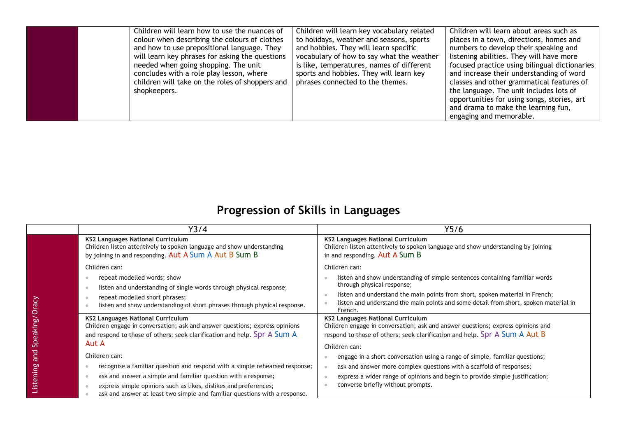| Children will learn how to use the nuances of<br>colour when describing the colours of clothes<br>and how to use prepositional language. They<br>will learn key phrases for asking the questions<br>needed when going shopping. The unit<br>concludes with a role play lesson, where<br>children will take on the roles of shoppers and<br>shopkeepers. | Children will learn key vocabulary related<br>to holidays, weather and seasons, sports<br>and hobbies. They will learn specific<br>vocabulary of how to say what the weather<br>is like, temperatures, names of different<br>sports and hobbies. They will learn key<br>phrases connected to the themes. | Children will learn about areas such as<br>places in a town, directions, homes and<br>numbers to develop their speaking and<br>listening abilities. They will have more<br>focused practice using bilingual dictionaries<br>and increase their understanding of word<br>classes and other grammatical features of<br>the language. The unit includes lots of<br>opportunities for using songs, stories, art<br>and drama to make the learning fun,<br>engaging and memorable. |
|---------------------------------------------------------------------------------------------------------------------------------------------------------------------------------------------------------------------------------------------------------------------------------------------------------------------------------------------------------|----------------------------------------------------------------------------------------------------------------------------------------------------------------------------------------------------------------------------------------------------------------------------------------------------------|-------------------------------------------------------------------------------------------------------------------------------------------------------------------------------------------------------------------------------------------------------------------------------------------------------------------------------------------------------------------------------------------------------------------------------------------------------------------------------|
|---------------------------------------------------------------------------------------------------------------------------------------------------------------------------------------------------------------------------------------------------------------------------------------------------------------------------------------------------------|----------------------------------------------------------------------------------------------------------------------------------------------------------------------------------------------------------------------------------------------------------------------------------------------------------|-------------------------------------------------------------------------------------------------------------------------------------------------------------------------------------------------------------------------------------------------------------------------------------------------------------------------------------------------------------------------------------------------------------------------------------------------------------------------------|

## **Progression of Skills in Languages**

|           | Y3/4                                                                                                                                                                                                | Y5/6                                                                                                                                                                                                      |
|-----------|-----------------------------------------------------------------------------------------------------------------------------------------------------------------------------------------------------|-----------------------------------------------------------------------------------------------------------------------------------------------------------------------------------------------------------|
|           | <b>KS2 Languages National Curriculum</b><br>Children listen attentively to spoken language and show understanding<br>by joining in and responding. Aut A Sum A Aut B Sum B                          | <b>KS2 Languages National Curriculum</b><br>Children listen attentively to spoken language and show understanding by joining<br>in and responding. Aut A Sum B                                            |
|           | Children can:                                                                                                                                                                                       | Children can:                                                                                                                                                                                             |
|           | repeat modelled words; show                                                                                                                                                                         | listen and show understanding of simple sentences containing familiar words                                                                                                                               |
|           | listen and understanding of single words through physical response;                                                                                                                                 | through physical response;                                                                                                                                                                                |
| Oracy     | repeat modelled short phrases;<br>listen and show understanding of short phrases through physical response.                                                                                         | listen and understand the main points from short, spoken material in French;<br>listen and understand the main points and some detail from short, spoken material in<br>French.                           |
| Speaking/ | <b>KS2 Languages National Curriculum</b><br>Children engage in conversation; ask and answer questions; express opinions<br>and respond to those of others; seek clarification and help. Spr A Sum A | <b>KS2 Languages National Curriculum</b><br>Children engage in conversation; ask and answer questions; express opinions and<br>respond to those of others; seek clarification and help. Spr A Sum A Aut B |
|           | Aut A                                                                                                                                                                                               | Children can:                                                                                                                                                                                             |
| and       | Children can:                                                                                                                                                                                       | engage in a short conversation using a range of simple, familiar questions;                                                                                                                               |
|           | recognise a familiar question and respond with a simple rehearsed response;                                                                                                                         | ask and answer more complex questions with a scaffold of responses;                                                                                                                                       |
| Listening | ask and answer a simple and familiar question with a response;                                                                                                                                      | express a wider range of opinions and begin to provide simple justification;                                                                                                                              |
|           | express simple opinions such as likes, dislikes and preferences;                                                                                                                                    | converse briefly without prompts.                                                                                                                                                                         |
|           | ask and answer at least two simple and familiar questions with a response.                                                                                                                          |                                                                                                                                                                                                           |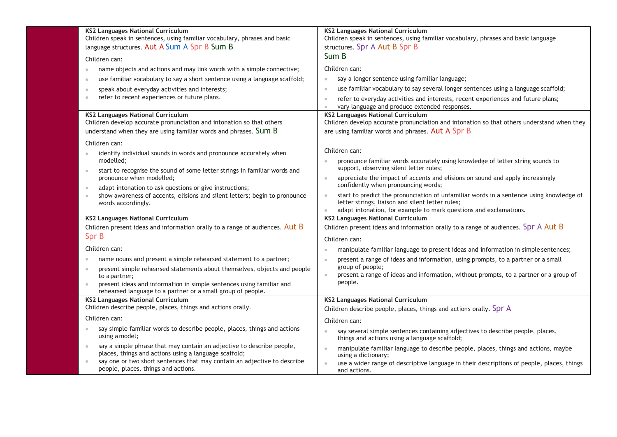| <b>KS2 Languages National Curriculum</b><br>Children speak in sentences, using familiar vocabulary, phrases and basic<br>language structures. Aut A Sum A Spr B Sum B | <b>KS2 Languages National Curriculum</b><br>Children speak in sentences, using familiar vocabulary, phrases and basic language<br>structures. Spr A Aut B Spr B |
|-----------------------------------------------------------------------------------------------------------------------------------------------------------------------|-----------------------------------------------------------------------------------------------------------------------------------------------------------------|
| Children can:                                                                                                                                                         | Sum B                                                                                                                                                           |
| name objects and actions and may link words with a simple connective;                                                                                                 | Children can:                                                                                                                                                   |
| use familiar vocabulary to say a short sentence using a language scaffold;                                                                                            | say a longer sentence using familiar language;<br>$\bullet$                                                                                                     |
| speak about everyday activities and interests;                                                                                                                        | use familiar vocabulary to say several longer sentences using a language scaffold;<br>$\bullet$                                                                 |
| refer to recent experiences or future plans.<br>$\bullet$                                                                                                             | refer to everyday activities and interests, recent experiences and future plans;<br>$\bullet$<br>vary language and produce extended responses.                  |
| <b>KS2 Languages National Curriculum</b>                                                                                                                              | <b>KS2 Languages National Curriculum</b>                                                                                                                        |
| Children develop accurate pronunciation and intonation so that others                                                                                                 | Children develop accurate pronunciation and intonation so that others understand when they                                                                      |
| understand when they are using familiar words and phrases. Sum B                                                                                                      | are using familiar words and phrases. Aut A Spr B                                                                                                               |
| Children can:                                                                                                                                                         |                                                                                                                                                                 |
| identify individual sounds in words and pronounce accurately when                                                                                                     | Children can:                                                                                                                                                   |
| modelled;<br>start to recognise the sound of some letter strings in familiar words and                                                                                | pronounce familiar words accurately using knowledge of letter string sounds to<br>support, observing silent letter rules;                                       |
| pronounce when modelled;                                                                                                                                              | appreciate the impact of accents and elisions on sound and apply increasingly<br>$\ddot{\phantom{a}}$<br>confidently when pronouncing words;                    |
| adapt intonation to ask questions or give instructions;                                                                                                               |                                                                                                                                                                 |
| show awareness of accents, elisions and silent letters; begin to pronounce<br>$\circ$<br>words accordingly.                                                           | start to predict the pronunciation of unfamiliar words in a sentence using knowledge of<br>$\bullet$<br>letter strings, liaison and silent letter rules;        |
|                                                                                                                                                                       | adapt intonation, for example to mark questions and exclamations.                                                                                               |
| <b>KS2 Languages National Curriculum</b>                                                                                                                              | <b>KS2 Languages National Curriculum</b>                                                                                                                        |
| Children present ideas and information orally to a range of audiences. Aut B                                                                                          | Children present ideas and information orally to a range of audiences. Spr A Aut B                                                                              |
| Spr B                                                                                                                                                                 | Children can:                                                                                                                                                   |
| Children can:                                                                                                                                                         | manipulate familiar language to present ideas and information in simple sentences;                                                                              |
| name nouns and present a simple rehearsed statement to a partner;                                                                                                     | present a range of ideas and information, using prompts, to a partner or a small<br>$\bullet$                                                                   |
| present simple rehearsed statements about themselves, objects and people                                                                                              | group of people;<br>present a range of ideas and information, without prompts, to a partner or a group of<br>$\bullet$                                          |
| to a partner;<br>present ideas and information in simple sentences using familiar and                                                                                 | people.                                                                                                                                                         |
| rehearsed language to a partner or a small group of people.                                                                                                           |                                                                                                                                                                 |
| <b>KS2 Languages National Curriculum</b>                                                                                                                              | <b>KS2 Languages National Curriculum</b>                                                                                                                        |
| Children describe people, places, things and actions orally.                                                                                                          | Children describe people, places, things and actions orally. Spr A                                                                                              |
| Children can:                                                                                                                                                         | Children can:                                                                                                                                                   |
| say simple familiar words to describe people, places, things and actions<br>using a model;                                                                            | say several simple sentences containing adjectives to describe people, places,<br>things and actions using a language scaffold;                                 |
| say a simple phrase that may contain an adjective to describe people,<br>places, things and actions using a language scaffold;                                        | manipulate familiar language to describe people, places, things and actions, maybe<br>$\ddot{\phantom{a}}$<br>using a dictionary;                               |
| say one or two short sentences that may contain an adjective to describe<br>people, places, things and actions.                                                       | use a wider range of descriptive language in their descriptions of people, places, things<br>and actions.                                                       |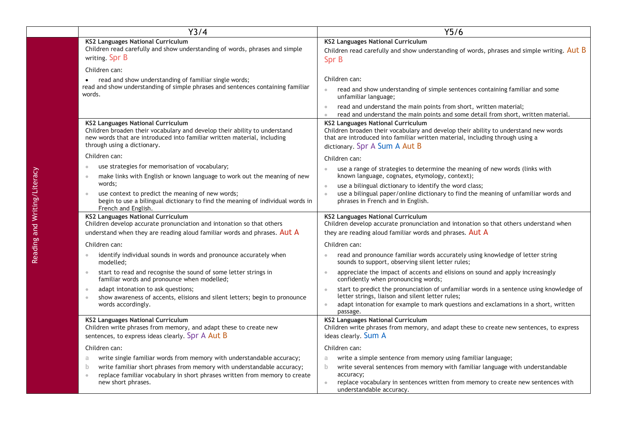| $\overline{Y}$ 3/4                                                                                                                                                                                                       | Y5/6                                                                                                                                                                                                                                                                     |
|--------------------------------------------------------------------------------------------------------------------------------------------------------------------------------------------------------------------------|--------------------------------------------------------------------------------------------------------------------------------------------------------------------------------------------------------------------------------------------------------------------------|
| <b>KS2 Languages National Curriculum</b><br>Children read carefully and show understanding of words, phrases and simple<br>writing. Spr B                                                                                | <b>KS2 Languages National Curriculum</b><br>Children read carefully and show understanding of words, phrases and simple writing. Aut B<br>Spr B                                                                                                                          |
| Children can:                                                                                                                                                                                                            |                                                                                                                                                                                                                                                                          |
| read and show understanding of familiar single words;<br>read and show understanding of simple phrases and sentences containing familiar<br>words.                                                                       | Children can:<br>read and show understanding of simple sentences containing familiar and some<br>unfamiliar language;                                                                                                                                                    |
|                                                                                                                                                                                                                          | read and understand the main points from short, written material;<br>$\bullet$<br>read and understand the main points and some detail from short, written material                                                                                                       |
| KS2 Languages National Curriculum<br>Children broaden their vocabulary and develop their ability to understand<br>new words that are introduced into familiar written material, including<br>through using a dictionary. | <b>KS2 Languages National Curriculum</b><br>Children broaden their vocabulary and develop their ability to understand new words<br>that are introduced into familiar written material, including through using a<br>dictionary. Spr A Sum A Aut B                        |
| Children can:                                                                                                                                                                                                            | Children can:                                                                                                                                                                                                                                                            |
| use strategies for memorisation of vocabulary;<br>$\bullet$<br>make links with English or known language to work out the meaning of new<br>$\oplus$                                                                      | use a range of strategies to determine the meaning of new words (links with<br>known language, cognates, etymology, context);                                                                                                                                            |
| words;<br>use context to predict the meaning of new words;<br>$\bullet$<br>begin to use a bilingual dictionary to find the meaning of individual words in<br>French and English.                                         | use a bilingual dictionary to identify the word class;<br>$\blacksquare$<br>use a bilingual paper/online dictionary to find the meaning of unfamiliar words and<br>$\bullet$<br>phrases in French and in English.                                                        |
| <b>KS2 Languages National Curriculum</b><br>Children develop accurate pronunciation and intonation so that others                                                                                                        | <b>KS2 Languages National Curriculum</b><br>Children develop accurate pronunciation and intonation so that others understand when                                                                                                                                        |
| understand when they are reading aloud familiar words and phrases. Aut A                                                                                                                                                 | they are reading aloud familiar words and phrases. Aut A                                                                                                                                                                                                                 |
| Children can:                                                                                                                                                                                                            | Children can:                                                                                                                                                                                                                                                            |
| identify individual sounds in words and pronounce accurately when<br>$\oplus$<br>modelled;                                                                                                                               | read and pronounce familiar words accurately using knowledge of letter string<br>sounds to support, observing silent letter rules;                                                                                                                                       |
| start to read and recognise the sound of some letter strings in<br>$\oplus$<br>familiar words and pronounce when modelled;                                                                                               | appreciate the impact of accents and elisions on sound and apply increasingly<br>$\bullet$<br>confidently when pronouncing words;                                                                                                                                        |
| adapt intonation to ask questions;<br>$\circ$<br>show awareness of accents, elisions and silent letters; begin to pronounce<br>$\bullet$<br>words accordingly.                                                           | start to predict the pronunciation of unfamiliar words in a sentence using knowledge of<br>$\bullet$<br>letter strings, liaison and silent letter rules;<br>adapt intonation for example to mark questions and exclamations in a short, written<br>$\bullet$<br>passage. |
| <b>KS2 Languages National Curriculum</b><br>Children write phrases from memory, and adapt these to create new<br>sentences, to express ideas clearly. Spr A Aut B                                                        | <b>KS2 Languages National Curriculum</b><br>Children write phrases from memory, and adapt these to create new sentences, to express<br>ideas clearly. Sum A                                                                                                              |
| Children can:                                                                                                                                                                                                            | Children can:                                                                                                                                                                                                                                                            |
| write single familiar words from memory with understandable accuracy;<br>a                                                                                                                                               | write a simple sentence from memory using familiar language;<br>a                                                                                                                                                                                                        |
| write familiar short phrases from memory with understandable accuracy;<br>$\mathbf b$<br>replace familiar vocabulary in short phrases written from memory to create<br>$\Phi$                                            | write several sentences from memory with familiar language with understandable<br>$\mathbf{b}$<br>accuracy;                                                                                                                                                              |
| new short phrases.                                                                                                                                                                                                       | replace vocabulary in sentences written from memory to create new sentences with<br>$\blacksquare$<br>understandable accuracy.                                                                                                                                           |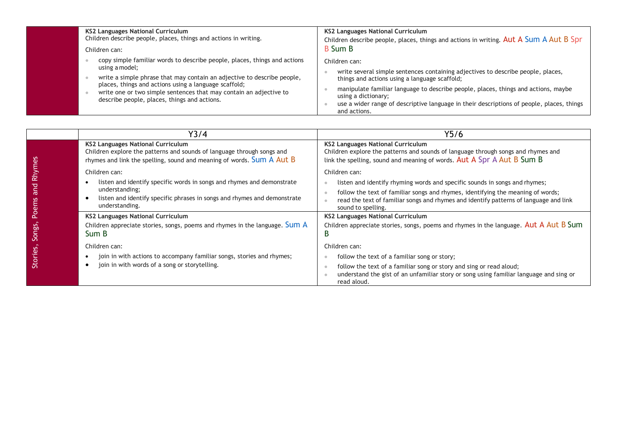| <b>KS2 Languages National Curriculum</b><br>Children describe people, places, things and actions in writing.<br>Children can:                                                                                                                                                                                                                         | <b>KS2 Languages National Curriculum</b><br>Children describe people, places, things and actions in writing. Aut A Sum A Aut B Spr<br><b>B</b> Sum B                                                                                                                                                                                                                         |
|-------------------------------------------------------------------------------------------------------------------------------------------------------------------------------------------------------------------------------------------------------------------------------------------------------------------------------------------------------|------------------------------------------------------------------------------------------------------------------------------------------------------------------------------------------------------------------------------------------------------------------------------------------------------------------------------------------------------------------------------|
| copy simple familiar words to describe people, places, things and actions<br>using a model;<br>write a simple phrase that may contain an adjective to describe people,<br>places, things and actions using a language scaffold;<br>write one or two simple sentences that may contain an adjective to<br>describe people, places, things and actions. | Children can:<br>write several simple sentences containing adjectives to describe people, places,<br>things and actions using a language scaffold;<br>manipulate familiar language to describe people, places, things and actions, maybe<br>using a dictionary;<br>use a wider range of descriptive language in their descriptions of people, places, things<br>and actions. |

|                        | Y3/4                                                                                                                                                                                                    | Y5/6                                                                                                                                                                                                                                                                                          |
|------------------------|---------------------------------------------------------------------------------------------------------------------------------------------------------------------------------------------------------|-----------------------------------------------------------------------------------------------------------------------------------------------------------------------------------------------------------------------------------------------------------------------------------------------|
|                        | KS2 Languages National Curriculum<br>Children explore the patterns and sounds of language through songs and<br>rhymes and link the spelling, sound and meaning of words. Sum A Aut B                    | KS2 Languages National Curriculum<br>Children explore the patterns and sounds of language through songs and rhymes and<br>link the spelling, sound and meaning of words. Aut A Spr A Aut B Sum B                                                                                              |
| Rhymes<br>and<br>Poems | Children can:<br>listen and identify specific words in songs and rhymes and demonstrate<br>understanding;<br>listen and identify specific phrases in songs and rhymes and demonstrate<br>understanding. | Children can:<br>listen and identify rhyming words and specific sounds in songs and rhymes;<br>follow the text of familiar songs and rhymes, identifying the meaning of words;<br>read the text of familiar songs and rhymes and identify patterns of language and link<br>sound to spelling. |
| Songs,                 | KS2 Languages National Curriculum<br>Children appreciate stories, songs, poems and rhymes in the language. Sum A<br>Sum B                                                                               | <b>KS2 Languages National Curriculum</b><br>Children appreciate stories, songs, poems and rhymes in the language. Aut A Aut B Sum<br>В                                                                                                                                                        |
| Stories,               | Children can:<br>join in with actions to accompany familiar songs, stories and rhymes;<br>join in with words of a song or storytelling.                                                                 | Children can:<br>follow the text of a familiar song or story;<br>follow the text of a familiar song or story and sing or read aloud;<br>understand the gist of an unfamiliar story or song using familiar language and sing or<br>read aloud.                                                 |